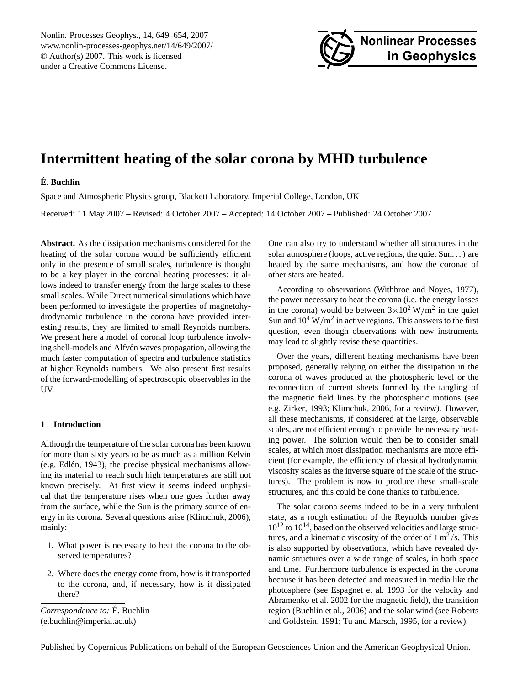<span id="page-0-0"></span>Nonlin. Processes Geophys., 14, 649–654, 2007 www.nonlin-processes-geophys.net/14/649/2007/ © Author(s) 2007. This work is licensed under a Creative Commons License.



# **Intermittent heating of the solar corona by MHD turbulence**

# **E. Buchlin ´**

Space and Atmospheric Physics group, Blackett Laboratory, Imperial College, London, UK

Received: 11 May 2007 – Revised: 4 October 2007 – Accepted: 14 October 2007 – Published: 24 October 2007

**Abstract.** As the dissipation mechanisms considered for the heating of the solar corona would be sufficiently efficient only in the presence of small scales, turbulence is thought to be a key player in the coronal heating processes: it allows indeed to transfer energy from the large scales to these small scales. While Direct numerical simulations which have been performed to investigate the properties of magnetohydrodynamic turbulence in the corona have provided interesting results, they are limited to small Reynolds numbers. We present here a model of coronal loop turbulence involving shell-models and Alfvén waves propagation, allowing the much faster computation of spectra and turbulence statistics at higher Reynolds numbers. We also present first results of the forward-modelling of spectroscopic observables in the UV.

# **1 Introduction**

Although the temperature of the solar corona has been known for more than sixty years to be as much as a million Kelvin (e.g. Edlén, [1943\)](#page-5-0), the precise physical mechanisms allowing its material to reach such high temperatures are still not known precisely. At first view it seems indeed unphysical that the temperature rises when one goes further away from the surface, while the Sun is the primary source of energy in its corona. Several questions arise [\(Klimchuk,](#page-5-1) [2006\)](#page-5-1), mainly:

- 1. What power is necessary to heat the corona to the observed temperatures?
- 2. Where does the energy come from, how is it transported to the corona, and, if necessary, how is it dissipated there?

*Correspondence to:* É. Buchlin (e.buchlin@imperial.ac.uk)

One can also try to understand whether all structures in the solar atmosphere (loops, active regions, the quiet Sun. . . ) are heated by the same mechanisms, and how the coronae of other stars are heated.

According to observations [\(Withbroe and Noyes,](#page-5-2) [1977\)](#page-5-2), the power necessary to heat the corona (i.e. the energy losses in the corona) would be between  $3 \times 10^2 \,\mathrm{W/m^2}$  in the quiet Sun and  $10^4$  W/m<sup>2</sup> in active regions. This answers to the first question, even though observations with new instruments may lead to slightly revise these quantities.

Over the years, different heating mechanisms have been proposed, generally relying on either the dissipation in the corona of waves produced at the photospheric level or the reconnection of current sheets formed by the tangling of the magnetic field lines by the photospheric motions (see e.g. [Zirker,](#page-5-3) [1993;](#page-5-3) [Klimchuk,](#page-5-1) [2006,](#page-5-1) for a review). However, all these mechanisms, if considered at the large, observable scales, are not efficient enough to provide the necessary heating power. The solution would then be to consider small scales, at which most dissipation mechanisms are more efficient (for example, the efficiency of classical hydrodynamic viscosity scales as the inverse square of the scale of the structures). The problem is now to produce these small-scale structures, and this could be done thanks to turbulence.

The solar corona seems indeed to be in a very turbulent state, as a rough estimation of the Reynolds number gives  $10^{12}$  to  $10^{14}$ , based on the observed velocities and large structures, and a kinematic viscosity of the order of  $1 \text{ m}^2/\text{s}$ . This is also supported by observations, which have revealed dynamic structures over a wide range of scales, in both space and time. Furthermore turbulence is expected in the corona because it has been detected and measured in media like the photosphere (see [Espagnet et al.](#page-5-4) [1993](#page-5-4) for the velocity and [Abramenko et al.](#page-4-0) [2002](#page-4-0) for the magnetic field), the transition region [\(Buchlin et al.,](#page-5-5) [2006\)](#page-5-5) and the solar wind (see [Roberts](#page-5-6) [and Goldstein,](#page-5-6) [1991;](#page-5-6) [Tu and Marsch,](#page-5-7) [1995,](#page-5-7) for a review).

Published by Copernicus Publications on behalf of the European Geosciences Union and the American Geophysical Union.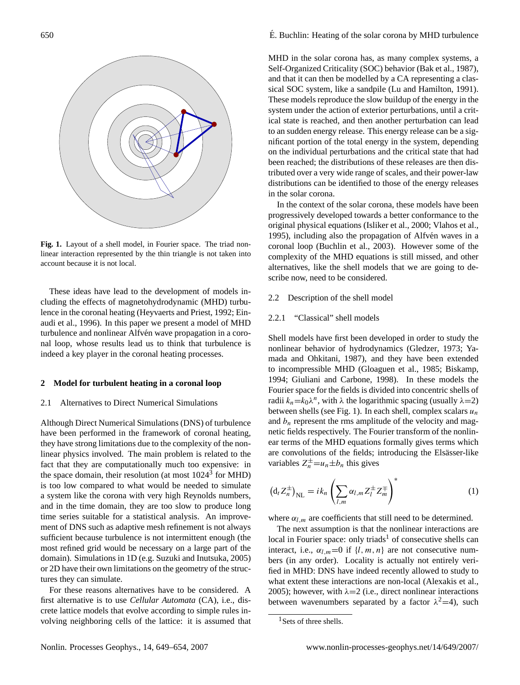

<span id="page-1-0"></span>**Fig. 1.** Layout of a shell model, in Fourier space. The triad nonlinear interaction represented by the thin triangle is not taken into account because it is not local.

These ideas have lead to the development of models including the effects of magnetohydrodynamic (MHD) turbulence in the coronal heating [\(Heyvaerts and Priest,](#page-5-8) [1992;](#page-5-8) [Ein](#page-5-9)[audi et al.,](#page-5-9) [1996\)](#page-5-9). In this paper we present a model of MHD turbulence and nonlinear Alfvén wave propagation in a coronal loop, whose results lead us to think that turbulence is indeed a key player in the coronal heating processes.

## **2 Model for turbulent heating in a coronal loop**

## 2.1 Alternatives to Direct Numerical Simulations

Although Direct Numerical Simulations (DNS) of turbulence have been performed in the framework of coronal heating, they have strong limitations due to the complexity of the nonlinear physics involved. The main problem is related to the fact that they are computationally much too expensive: in the space domain, their resolution (at most 1024<sup>3</sup> for MHD) is too low compared to what would be needed to simulate a system like the corona with very high Reynolds numbers, and in the time domain, they are too slow to produce long time series suitable for a statistical analysis. An improvement of DNS such as adaptive mesh refinement is not always sufficient because turbulence is not intermittent enough (the most refined grid would be necessary on a large part of the domain). Simulations in 1D (e.g. [Suzuki and Inutsuka,](#page-5-10) [2005\)](#page-5-10) or 2D have their own limitations on the geometry of the structures they can simulate.

For these reasons alternatives have to be considered. A first alternative is to use *Cellular Automata* (CA), i.e., discrete lattice models that evolve according to simple rules involving neighboring cells of the lattice: it is assumed that

# $\acute{E}$ . Buchlin: Heating of the solar corona by MHD turbulence

MHD in the solar corona has, as many complex systems, a Self-Organized Criticality (SOC) behavior [\(Bak et al.,](#page-4-1) [1987\)](#page-4-1), and that it can then be modelled by a CA representing a classical SOC system, like a sandpile [\(Lu and Hamilton,](#page-5-11) [1991\)](#page-5-11). These models reproduce the slow buildup of the energy in the system under the action of exterior perturbations, until a critical state is reached, and then another perturbation can lead to an sudden energy release. This energy release can be a significant portion of the total energy in the system, depending on the individual perturbations and the critical state that had been reached; the distributions of these releases are then distributed over a very wide range of scales, and their power-law distributions can be identified to those of the energy releases in the solar corona.

In the context of the solar corona, these models have been progressively developed towards a better conformance to the original physical equations [\(Isliker et al.,](#page-5-12) [2000;](#page-5-12) [Vlahos et al.,](#page-5-13) [1995\)](#page-5-13), including also the propagation of Alfvén waves in a coronal loop [\(Buchlin et al.,](#page-5-14) [2003\)](#page-5-14). However some of the complexity of the MHD equations is still missed, and other alternatives, like the shell models that we are going to describe now, need to be considered.

# 2.2 Description of the shell model

# 2.2.1 "Classical" shell models

Shell models have first been developed in order to study the nonlinear behavior of hydrodynamics [\(Gledzer,](#page-5-15) [1973;](#page-5-15) [Ya](#page-5-16)[mada and Ohkitani,](#page-5-16) [1987\)](#page-5-16), and they have been extended to incompressible MHD [\(Gloaguen et al.,](#page-5-17) [1985;](#page-5-17) [Biskamp,](#page-4-2) [1994;](#page-4-2) [Giuliani and Carbone,](#page-5-18) [1998\)](#page-5-18). In these models the Fourier space for the fields is divided into concentric shells of radii  $k_n = k_0 \lambda^n$ , with  $\lambda$  the logarithmic spacing (usually  $\lambda = 2$ ) between shells (see Fig. [1\)](#page-1-0). In each shell, complex scalars  $u_n$ and  $b_n$  represent the rms amplitude of the velocity and magnetic fields respectively. The Fourier transform of the nonlinear terms of the MHD equations formally gives terms which are convolutions of the fields; introducing the Elsässer-like variables  $Z_n^{\pm} = u_n \pm b_n$  this gives

<span id="page-1-2"></span>
$$
\left(\mathrm{d}_{t}Z_{n}^{\pm}\right)_{\mathrm{NL}} = i k_{n} \left(\sum_{l,m} \alpha_{l,m} Z_{l}^{\pm} Z_{m}^{\mp}\right)^{*} \tag{1}
$$

where  $\alpha_{l,m}$  are coefficients that still need to be determined.

The next assumption is that the nonlinear interactions are local in Fourier space: only triads<sup>[1](#page-1-1)</sup> of consecutive shells can interact, i.e.,  $\alpha_{l,m}=0$  if  $\{l, m, n\}$  are not consecutive numbers (in any order). Locality is actually not entirely verified in MHD: DNS have indeed recently allowed to study to what extent these interactions are non-local [\(Alexakis et al.,](#page-4-3) [2005\)](#page-4-3); however, with  $\lambda = 2$  (i.e., direct nonlinear interactions between wavenumbers separated by a factor  $\lambda^2$  = 4), such

<span id="page-1-1"></span><sup>&</sup>lt;sup>1</sup>Sets of three shells.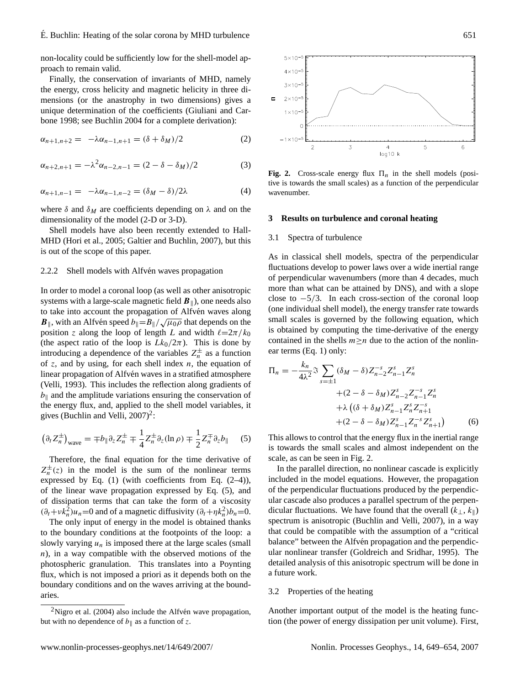non-locality could be sufficiently low for the shell-model approach to remain valid.

Finally, the conservation of invariants of MHD, namely the energy, cross helicity and magnetic helicity in three dimensions (or the anastrophy in two dimensions) gives a unique determination of the coefficients [\(Giuliani and Car](#page-5-18)[bone](#page-5-18) [1998;](#page-5-18) see [Buchlin](#page-5-19) [2004](#page-5-19) for a complete derivation):

<span id="page-2-1"></span>
$$
\alpha_{n+1,n+2} = -\lambda \alpha_{n-1,n+1} = (\delta + \delta_M)/2 \tag{2}
$$

$$
\alpha_{n+2,n+1} = -\lambda^2 \alpha_{n-2,n-1} = (2 - \delta - \delta_M)/2 \tag{3}
$$

<span id="page-2-2"></span>
$$
\alpha_{n+1,n-1} = -\lambda \alpha_{n-1,n-2} = (\delta_M - \delta)/2\lambda \tag{4}
$$

where  $\delta$  and  $\delta_M$  are coefficients depending on  $\lambda$  and on the dimensionality of the model (2-D or 3-D).

Shell models have also been recently extended to Hall-MHD [\(Hori et al.,](#page-5-20) [2005;](#page-5-20) [Galtier and Buchlin,](#page-5-21) [2007\)](#page-5-21), but this is out of the scope of this paper.

#### 2.2.2 Shell models with Alfvén waves propagation

In order to model a coronal loop (as well as other anisotropic systems with a large-scale magnetic field  $\mathbf{B}_{\parallel}$ ), one needs also to take into account the propagation of Alfvén waves along  $B_{\parallel}$ , with an Alfvén speed  $b_{\parallel}=B_{\parallel}/\sqrt{\mu_0 \rho}$  that depends on the position z along the loop of length L and width  $\ell=2\pi/k_0$ (the aspect ratio of the loop is  $Lk_0/2\pi$ ). This is done by introducing a dependence of the variables  $Z_n^{\pm}$  as a function of z, and by using, for each shell index  $n$ , the equation of linear propagation of Alfvén waves in a stratified atmosphere [\(Velli,](#page-5-22) [1993\)](#page-5-22). This includes the reflection along gradients of  $b_{\parallel}$  and the amplitude variations ensuring the conservation of the energy flux, and, applied to the shell model variables, it gives [\(Buchlin and Velli,](#page-5-23) [2007\)](#page-5-23)<sup>[2](#page-2-0)</sup>:

<span id="page-2-3"></span>
$$
\left(\partial_t Z_n^{\pm}\right)_{\text{wave}} = \mp b_{\parallel} \partial_z Z_n^{\pm} \mp \frac{1}{4} Z_n^{\pm} \partial_z (\ln \rho) \mp \frac{1}{2} Z_n^{\mp} \partial_z b_{\parallel} \tag{5}
$$

Therefore, the final equation for the time derivative of  $Z_n^{\pm}(z)$  in the model is the sum of the nonlinear terms expressed by Eq.  $(1)$  (with coefficients from Eq.  $(2-4)$ ), of the linear wave propagation expressed by Eq. [\(5\)](#page-2-3), and of dissipation terms that can take the form of a viscosity  $(\partial_t + v k_n^2)u_n = 0$  and of a magnetic diffusivity  $(\partial_t + \eta k_n^2) b_n = 0$ .

The only input of energy in the model is obtained thanks to the boundary conditions at the footpoints of the loop: a slowly varying  $u_n$  is imposed there at the large scales (small  $n$ ), in a way compatible with the observed motions of the photospheric granulation. This translates into a Poynting flux, which is not imposed a priori as it depends both on the boundary conditions and on the waves arriving at the boundaries.



<span id="page-2-4"></span>**Fig. 2.** Cross-scale energy flux  $\Pi_n$  in the shell models (positive is towards the small scales) as a function of the perpendicular wavenumber.

## **3 Results on turbulence and coronal heating**

## 3.1 Spectra of turbulence

As in classical shell models, spectra of the perpendicular fluctuations develop to power laws over a wide inertial range of perpendicular wavenumbers (more than 4 decades, much more than what can be attained by DNS), and with a slope close to  $-5/3$ . In each cross-section of the coronal loop (one individual shell model), the energy transfer rate towards small scales is governed by the following equation, which is obtained by computing the time-derivative of the energy contained in the shells  $m \geq n$  due to the action of the nonlinear terms (Eq. [1\)](#page-1-2) only:

$$
\Pi_n = -\frac{k_n}{4\lambda^2} \Im \sum_{s=\pm 1} (\delta_M - \delta) Z_{n-2}^{-s} Z_{n-1}^s Z_n^s
$$
  
 
$$
+ (2 - \delta - \delta_M) Z_{n-2}^s Z_{n-1}^{-s} Z_n^s
$$
  
 
$$
+ \lambda \left( (\delta + \delta_M) Z_{n-1}^s Z_n^s Z_{n+1}^{-s} + (2 - \delta - \delta_M) Z_{n-1}^s Z_n^{-s} Z_{n+1}^s \right)
$$
(6)

This allows to control that the energy flux in the inertial range is towards the small scales and almost independent on the scale, as can be seen in Fig. [2.](#page-2-4)

In the parallel direction, no nonlinear cascade is explicitly included in the model equations. However, the propagation of the perpendicular fluctuations produced by the perpendicular cascade also produces a parallel spectrum of the perpendicular fluctuations. We have found that the overall  $(k_{\perp}, k_{\parallel})$ spectrum is anisotropic [\(Buchlin and Velli,](#page-5-23) [2007\)](#page-5-23), in a way that could be compatible with the assumption of a "critical balance" between the Alfvén propagation and the perpendicular nonlinear transfer [\(Goldreich and Sridhar,](#page-5-25) [1995\)](#page-5-25). The detailed analysis of this anisotropic spectrum will be done in a future work.

# <span id="page-2-5"></span>3.2 Properties of the heating

Another important output of the model is the heating function (the power of energy dissipation per unit volume). First,

<span id="page-2-0"></span><sup>&</sup>lt;sup>2</sup>[Nigro et al.](#page-5-24) [\(2004\)](#page-5-24) also include the Alfvén wave propagation, but with no dependence of  $b_{\parallel}$  as a function of z.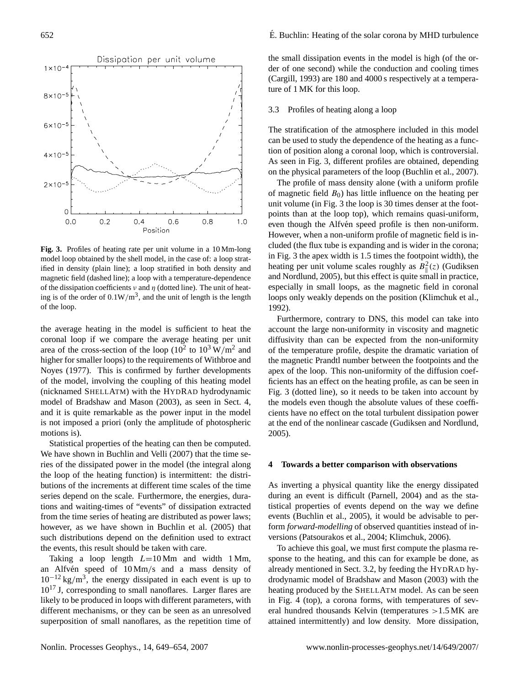

<span id="page-3-1"></span>**Fig. 3.** Profiles of heating rate per unit volume in a 10 Mm-long model loop obtained by the shell model, in the case of: a loop stratified in density (plain line); a loop stratified in both density and magnetic field (dashed line); a loop with a temperature-dependence of the dissipation coefficients  $\nu$  and  $\eta$  (dotted line). The unit of heating is of the order of  $0.1 \text{W/m}^3$ , and the unit of length is the length of the loop.

the average heating in the model is sufficient to heat the coronal loop if we compare the average heating per unit area of the cross-section of the loop ( $10^2$  to  $10^3$  W/m<sup>2</sup> and higher for smaller loops) to the requirements of [Withbroe and](#page-5-2) [Noyes](#page-5-2) [\(1977\)](#page-5-2). This is confirmed by further developments of the model, involving the coupling of this heating model (nicknamed SHELLATM) with the HYDRAD hydrodynamic model of [Bradshaw and Mason](#page-4-4) [\(2003\)](#page-4-4), as seen in Sect. [4,](#page-3-0) and it is quite remarkable as the power input in the model is not imposed a priori (only the amplitude of photospheric motions is).

Statistical properties of the heating can then be computed. We have shown in [Buchlin and Velli](#page-5-23) [\(2007\)](#page-5-23) that the time series of the dissipated power in the model (the integral along the loop of the heating function) is intermittent: the distributions of the increments at different time scales of the time series depend on the scale. Furthermore, the energies, durations and waiting-times of "events" of dissipation extracted from the time series of heating are distributed as power laws; however, as we have shown in [Buchlin et al.](#page-5-26) [\(2005\)](#page-5-26) that such distributions depend on the definition used to extract the events, this result should be taken with care.

Taking a loop length  $L=10$  Mm and width 1 Mm, an Alfvén speed of  $10 \text{ Mm/s}$  and a mass density of  $10^{-12}$  kg/m<sup>3</sup>, the energy dissipated in each event is up to  $10^{17}$  J, corresponding to small nanoflares. Larger flares are likely to be produced in loops with different parameters, with different mechanisms, or they can be seen as an unresolved superposition of small nanoflares, as the repetition time of the small dissipation events in the model is high (of the order of one second) while the conduction and cooling times [\(Cargill,](#page-5-27) [1993\)](#page-5-27) are 180 and 4000 s respectively at a temperature of 1 MK for this loop.

# 3.3 Profiles of heating along a loop

The stratification of the atmosphere included in this model can be used to study the dependence of the heating as a function of position along a coronal loop, which is controversial. As seen in Fig. [3,](#page-3-1) different profiles are obtained, depending on the physical parameters of the loop [\(Buchlin et al.,](#page-5-28) [2007\)](#page-5-28).

The profile of mass density alone (with a uniform profile of magnetic field  $B_0$ ) has little influence on the heating per unit volume (in Fig. [3](#page-3-1) the loop is 30 times denser at the footpoints than at the loop top), which remains quasi-uniform, even though the Alfvén speed profile is then non-uniform. However, when a non-uniform profile of magnetic field is included (the flux tube is expanding and is wider in the corona; in Fig. [3](#page-3-1) the apex width is 1.5 times the footpoint width), the heating per unit volume scales roughly as  $B_{\parallel}^2(z)$  [\(Gudiksen](#page-5-29) [and Nordlund,](#page-5-29) [2005\)](#page-5-29), but this effect is quite small in practice, especially in small loops, as the magnetic field in coronal loops only weakly depends on the position [\(Klimchuk et al.,](#page-5-30) [1992\)](#page-5-30).

Furthermore, contrary to DNS, this model can take into account the large non-uniformity in viscosity and magnetic diffusivity than can be expected from the non-uniformity of the temperature profile, despite the dramatic variation of the magnetic Prandtl number between the footpoints and the apex of the loop. This non-uniformity of the diffusion coefficients has an effect on the heating profile, as can be seen in Fig. [3](#page-3-1) (dotted line), so it needs to be taken into account by the models even though the absolute values of these coefficients have no effect on the total turbulent dissipation power at the end of the nonlinear cascade [\(Gudiksen and Nordlund,](#page-5-29) [2005\)](#page-5-29).

## <span id="page-3-0"></span>**4 Towards a better comparison with observations**

As inverting a physical quantity like the energy dissipated during an event is difficult [\(Parnell,](#page-5-31) [2004\)](#page-5-31) and as the statistical properties of events depend on the way we define events [\(Buchlin et al.,](#page-5-26) [2005\)](#page-5-26), it would be advisable to perform *forward-modelling* of observed quantities instead of inversions [\(Patsourakos et al.,](#page-5-32) [2004;](#page-5-32) [Klimchuk,](#page-5-1) [2006\)](#page-5-1).

To achieve this goal, we must first compute the plasma response to the heating, and this can for example be done, as already mentioned in Sect. [3.2,](#page-2-5) by feeding the HYDRAD hydrodynamic model of [Bradshaw and Mason](#page-4-4) [\(2003\)](#page-4-4) with the heating produced by the SHELLATM model. As can be seen in Fig. [4](#page-4-5) (top), a corona forms, with temperatures of several hundred thousands Kelvin (temperatures >1.5 MK are attained intermittently) and low density. More dissipation,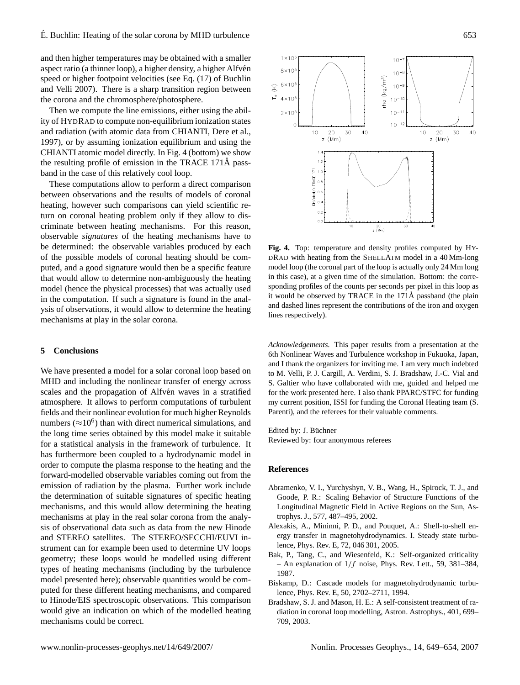and then higher temperatures may be obtained with a smaller aspect ratio (a thinner loop), a higher density, a higher Alfvén speed or higher footpoint velocities (see Eq. (17) of [Buchlin](#page-5-23) [and Velli](#page-5-23) [2007\)](#page-5-23). There is a sharp transition region between the corona and the chromosphere/photosphere.

Then we compute the line emissions, either using the ability of HYDRAD to compute non-equilibrium ionization states and radiation (with atomic data from CHIANTI, [Dere et al.,](#page-5-33) [1997\)](#page-5-33), or by assuming ionization equilibrium and using the CHIANTI atomic model directly. In Fig. [4](#page-4-5) (bottom) we show the resulting profile of emission in the TRACE  $171\text{\AA}$  passband in the case of this relatively cool loop.

These computations allow to perform a direct comparison between observations and the results of models of coronal heating, however such comparisons can yield scientific return on coronal heating problem only if they allow to discriminate between heating mechanisms. For this reason, observable *signatures* of the heating mechanisms have to be determined: the observable variables produced by each of the possible models of coronal heating should be computed, and a good signature would then be a specific feature that would allow to determine non-ambiguously the heating model (hence the physical processes) that was actually used in the computation. If such a signature is found in the analysis of observations, it would allow to determine the heating mechanisms at play in the solar corona.

# **5 Conclusions**

We have presented a model for a solar coronal loop based on MHD and including the nonlinear transfer of energy across scales and the propagation of Alfvén waves in a stratified atmosphere. It allows to perform computations of turbulent fields and their nonlinear evolution for much higher Reynolds numbers ( $\approx$ 10<sup>6</sup>) than with direct numerical simulations, and the long time series obtained by this model make it suitable for a statistical analysis in the framework of turbulence. It has furthermore been coupled to a hydrodynamic model in order to compute the plasma response to the heating and the forward-modelled observable variables coming out from the emission of radiation by the plasma. Further work include the determination of suitable signatures of specific heating mechanisms, and this would allow determining the heating mechanisms at play in the real solar corona from the analysis of observational data such as data from the new Hinode and STEREO satellites. The STEREO/SECCHI/EUVI instrument can for example been used to determine UV loops geometry; these loops would be modelled using different types of heating mechanisms (including by the turbulence model presented here); observable quantities would be computed for these different heating mechanisms, and compared to Hinode/EIS spectroscopic observations. This comparison would give an indication on which of the modelled heating mechanisms could be correct.



<span id="page-4-5"></span>**Fig. 4.** Top: temperature and density profiles computed by HY-DRAD with heating from the SHELLATM model in a 40 Mm-long model loop (the coronal part of the loop is actually only 24 Mm long in this case), at a given time of the simulation. Bottom: the corresponding profiles of the counts per seconds per pixel in this loop as it would be observed by TRACE in the 171Å passband (the plain and dashed lines represent the contributions of the iron and oxygen lines respectively).

*Acknowledgements.* This paper results from a presentation at the 6th Nonlinear Waves and Turbulence workshop in Fukuoka, Japan, and I thank the organizers for inviting me. I am very much indebted to M. Velli, P. J. Cargill, A. Verdini, S. J. Bradshaw, J.-C. Vial and S. Galtier who have collaborated with me, guided and helped me for the work presented here. I also thank PPARC/STFC for funding my current position, ISSI for funding the Coronal Heating team (S. Parenti), and the referees for their valuable comments.

Edited by: J. Büchner Reviewed by: four anonymous referees

## **References**

- <span id="page-4-0"></span>Abramenko, V. I., Yurchyshyn, V. B., Wang, H., Spirock, T. J., and Goode, P. R.: Scaling Behavior of Structure Functions of the Longitudinal Magnetic Field in Active Regions on the Sun, Astrophys. J., 577, 487–495, 2002.
- <span id="page-4-3"></span>Alexakis, A., Mininni, P. D., and Pouquet, A.: Shell-to-shell energy transfer in magnetohydrodynamics. I. Steady state turbulence, Phys. Rev. E, 72, 046 301, 2005.
- <span id="page-4-1"></span>Bak, P., Tang, C., and Wiesenfeld, K.: Self-organized criticality – An explanation of  $1/f$  noise, Phys. Rev. Lett., 59, 381–384, 1987.
- <span id="page-4-2"></span>Biskamp, D.: Cascade models for magnetohydrodynamic turbulence, Phys. Rev. E, 50, 2702–2711, 1994.
- <span id="page-4-4"></span>Bradshaw, S. J. and Mason, H. E.: A self-consistent treatment of radiation in coronal loop modelling, Astron. Astrophys., 401, 699– 709, 2003.